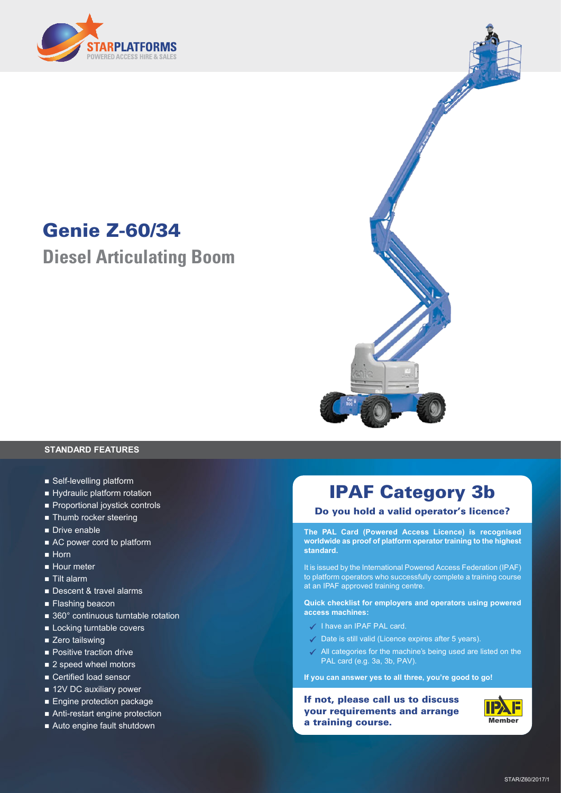

## **Genie Z-60/34**

**Diesel Articulating Boom**



#### **STANDARD FEATURES**

- Self-levelling platform
- Hydraulic platform rotation
- **n** Proportional joystick controls
- **n** Thumb rocker steering
- Drive enable
- AC power cord to platform
- $\blacksquare$  Horn
- Hour meter
- Tilt alarm
- Descent & travel alarms
- **Flashing beacon**
- $\blacksquare$  360° continuous turntable rotation
- **n** Locking turntable covers
- Zero tailswing
- **n** Positive traction drive
- 2 speed wheel motors
- Certified load sensor
- 12V DC auxiliary power
- Engine protection package
- Anti-restart engine protection
- Auto engine fault shutdown

### **IPAF Category 3b**

#### **Do you hold a valid operator's licence?**

**The PAL Card (Powered Access Licence) is recognised worldwide as proof of platform operator training to the highest standard.**

It is issued by the International Powered Access Federation (IPAF) to platform operators who successfully complete a training course at an IPAF approved training centre.

**Quick checklist for employers and operators using powered access machines:**

- $\checkmark$  I have an IPAF PAL card.
- $\checkmark$  Date is still valid (Licence expires after 5 years).
- $\angle$  All categories for the machine's being used are listed on the PAL card (e.g. 3a, 3b, PAV).

**If you can answer yes to all three, you're good to go!**

**If not, please call us to discuss your requirements and arrange a training course.**